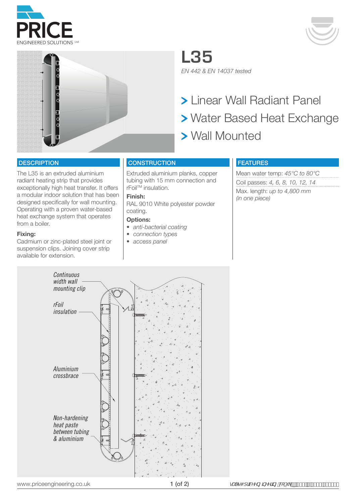





**L35** *EN 442 & EN 14037 tested*

 Linear Wall Radiant Panel Water Based Heat Exchange Wall Mounted

#### **DESCRIPTION**

The L35 is an extruded aluminium radiant heating strip that provides exceptionally high heat transfer. It offers a modular indoor solution that has been designed specifically for wall mounting. Operating with a proven water-based heat exchange system that operates from a boiler.

#### **Fixing:**

Cadmium or zinc-plated steel joint or suspension clips. Joining cover strip available for extension.

### **CONSTRUCTION**

Extruded aluminium planks, copper tubing with 15 mm connection and rFoil™ insulation.

## **Finish:**

RAL 9010 White polyester powder coating.

#### **Options:**

- *• anti-bacterial coating*
- *• connection types*
- *• access panel*

## FEATURES

Mean water temp: *45°C to 80°C* Coil passes: *4, 6, 8, 10, 12, 14* Max. length: *up to 4,800 mm (in one piece)*